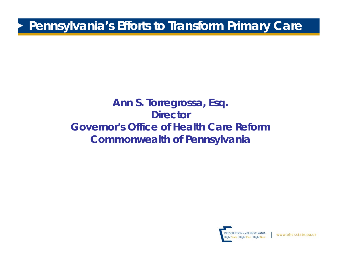## **Ann S. Torregrossa, Esq. DirectorGovernor's Office of Health Care ReformCommonwealth of Pennsylvania**

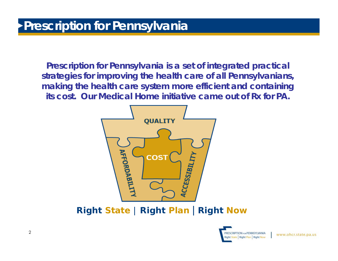**Prescription for Pennsylvania is a set of integrated practical strategies for improving the health care of all Pennsylvanians, making the health care system more efficient and containing its cost. Our Medical Home initiative came out of Rx for PA.**



**Right State** | **Right Plan** | **Right Now**

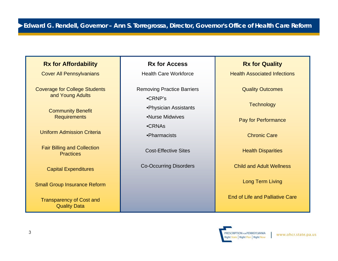**Rx for Access**

#### **Rx for Affordability**

Cover All Pennsylvanians

Coverage for College Students and Young Adults

> Community Benefit **Requirements**

Uniform Admission Criteria

Fair Billing and Collection **Practices** 

Capital Expenditures

Small Group Insurance Reform

Transparency of Cost and Quality Data

Health Care WorkforceRemoving Practice Barriers •CRNP's•Physician Assistants •Nurse Midwives•CRNAs•PharmacistsCost-Effective SitesCo-Occurring Disorders

#### **Rx for Quality**

Health Associated Infections

Quality Outcomes

**Technology** 

Pay for Performance

Chronic Care

Health Disparities

Child and Adult Wellness

Long Term Living

End of Life and Palliative Care

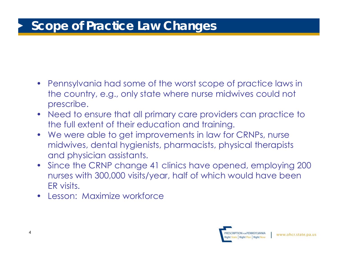- • Pennsylvania had some of the worst scope of practice laws in the country, e.g., only state where nurse midwives could not prescribe.
- Need to ensure that all primary care providers can practice to the full extent of their education and training.
- $\bullet$ We were able to get improvements in law for CRNPs, nurse midwives, dental hygienists, pharmacists, physical therapists and physician assistants.
- $\bullet$  Since the CRNP change 41 clinics have opened, employing 200 nurses with 300,000 visits/year, half of which would have been ER visits.
- •Lesson: Maximize workforce

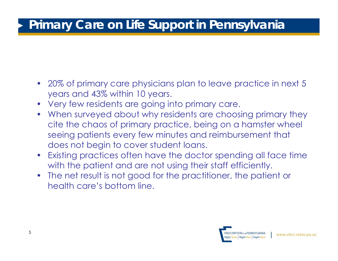- 20% of primary care physicians plan to leave practice in next 5 years and 43% within 10 years.
- •Very few residents are going into primary care.
- • When surveyed about why residents are choosing primary they cite the chaos of primary practice, being on a hamster wheel seeing patients every few minutes and reimbursement that does not begin to cover student loans.
- $\bullet$  Existing practices often have the doctor spending all face time with the patient and are not using their staff efficiently.
- $\bullet$  The net result is not good for the practitioner, the patient or health care's bottom line.

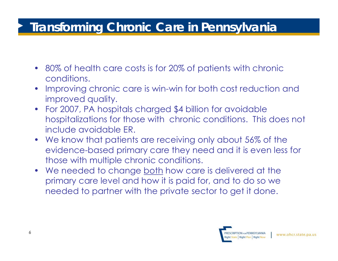# **Transforming Chronic Care in Pennsylvania**

- 80% of health care costs is for 20% of patients with chronic conditions.
- • Improving chronic care is win-win for both cost reduction and improved quality.
- For 2007, PA hospitals charged \$4 billion for avoidable hospitalizations for those with chronic conditions. This does not include avoidable ER.
- We know that patients are receiving only about 56% of the evidence-based primary care they need and it is even less for those with multiple chronic conditions.
- We needed to change <u>both</u> how care is delivered at the primary care level and how it is paid for, and to do so we needed to partner with the private sector to get it done.

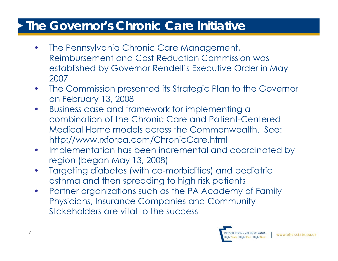## **The Governor's Chronic Care Initiative**

- • The Pennsylvania Chronic Care Management, Reimbursement and Cost Reduction Commission was established by Governor Rendell's Executive Order in May 2007
- $\bullet$  The Commission presented its Strategic Plan to the Governor on February 13, 2008
- • Business case and framework for implementing a combination of the Chronic Care and Patient-Centered Medical Home models across the Commonwealth. See: http://www.rxforpa.com/ChronicCare.html
- $\bullet$  Implementation has been incremental and coordinated by region (began May 13, 2008)
- • Targeting diabetes (with co-morbidities) and pediatric asthma and then spreading to high risk patients
- • Partner organizations such as the PA Academy of Family Physicians, Insurance Companies and Community Stakeholders are vital to the success

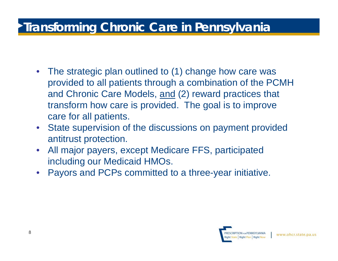# **Transforming Chronic Care in Pennsylvania**

- The strategic plan outlined to (1) change how care was provided to all patients through a combination of the PCMH and Chronic Care Models, and (2) reward practices that transform how care is provided. The goal is to improve care for all patients.
- State supervision of the discussions on payment provided antitrust protection.
- All major payers, except Medicare FFS, participated including our Medicaid HMOs.
- Payors and PCPs committed to a three-year initiative.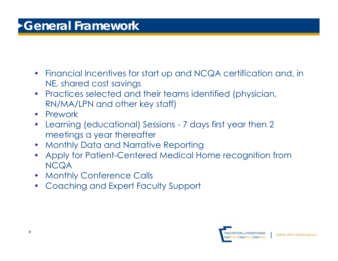- $\bullet$  Financial Incentives for start up and NCQA certification and, in NE, shared cost savings
- Practices selected and their teams identified (physician, RN/MA/LPN and other key staff)
- Prework
- $\bullet$  Learning (educational) Sessions - 7 days first year then 2 meetings a year thereafter
- Monthly Data and Narrative Reporting
- Apply for Patient-Centered Medical Home recognition from **NCQA**
- Monthly Conference Calls
- •Coaching and Expert Faculty Support

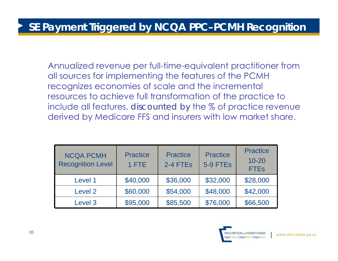Annualized revenue per full-time-equivalent practitioner from all sources for implementing the features of the PCMH recognizes economies of scale and the incremental resources to achieve full transformation of the practice to include all features, *discounted by* the % of practice revenue derived by Medicare FFS and insurers with low market share.

| <b>NCQA PCMH</b><br><b>Recognition Level</b> | <b>Practice</b><br>1 FTE | <b>Practice</b><br>2-4 FTEs | <b>Practice</b><br>5-9 FTEs | <b>Practice</b><br>$10 - 20$<br><b>FTEs</b> |
|----------------------------------------------|--------------------------|-----------------------------|-----------------------------|---------------------------------------------|
| Level 1                                      | \$40,000                 | \$36,000                    | \$32,000                    | \$28,000                                    |
| Level 2                                      | \$60,000                 | \$54,000                    | \$48,000                    | \$42,000                                    |
| Level 3                                      | \$95,000                 | \$85,500                    | \$76,000                    | \$66,500                                    |

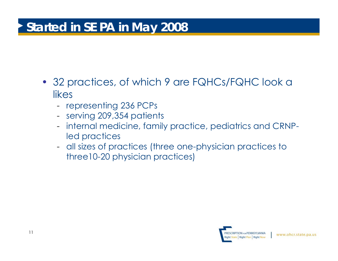- 32 practices, of which 9 are FQHCs/FQHC look a likes
	- -- representing 236 PCPs
	- serving 209,354 patients
	- internal medicine, family practice, pediatrics and CRNPled practices
	- all sizes of practices (three one-physician practices to three10-20 physician practices)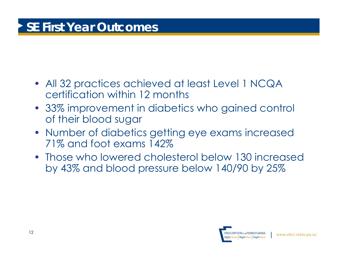- All 32 practices achieved at least Level 1 NCQA certification within 12 months
- 33% improvement in diabetics who gained control of their blood sugar
- Number of diabetics getting eye exams increased 71% and foot exams 142%
- Those who lowered cholesterol below 130 increased by 43% and blood pressure below 140/90 by 25%

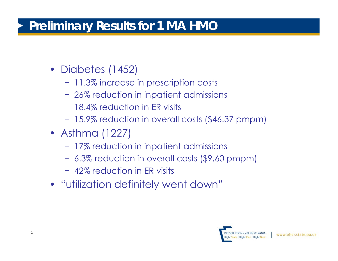## **Preliminary Results for 1 MA HMO**

- Diabetes (1452)
	- − 11.3% increase in prescription costs
	- − 26% reduction in inpatient admissions
	- − 18.4% reduction in ER visits
	- − 15.9% reduction in overall costs (\$46.37 pmpm)
- Asthma (1227)
	- − 17% reduction in inpatient admissions
	- − 6.3% reduction in overall costs (\$9.60 pmpm)
	- − 42% reduction in ER visits
- "utilization definitely went down"

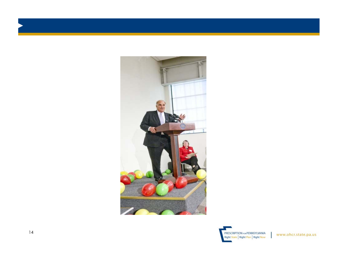

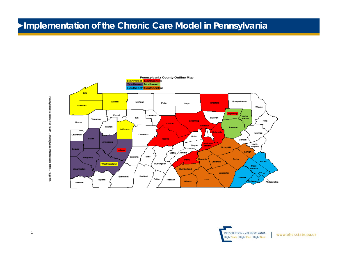#### **Implementation of the Chronic Care Model in Pennsylvania**



Pennsylvania Department of Health Pennsylvania Vital Statistics 1998 -- Page 235

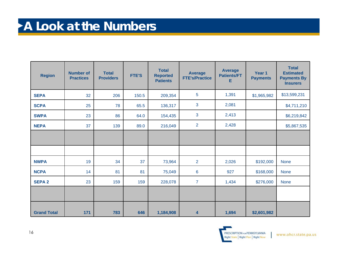| <b>Region</b>      | <b>Number of</b><br><b>Practices</b> | <b>Total</b><br><b>Providers</b> | <b>FTE'S</b> | <b>Total</b><br><b>Reported</b><br><b>Patients</b> | <b>Average</b><br><b>FTE's/Practice</b> | <b>Average</b><br><b>Patients/FT</b><br>Е | Year 1<br><b>Payments</b> | <b>Total</b><br><b>Estimated</b><br><b>Payments By</b><br><b>Insurers</b> |
|--------------------|--------------------------------------|----------------------------------|--------------|----------------------------------------------------|-----------------------------------------|-------------------------------------------|---------------------------|---------------------------------------------------------------------------|
| <b>SEPA</b>        | 32                                   | 206                              | 150.5        | 209,354                                            | 5                                       | 1,391                                     | \$1,965,982               | \$13,599,231                                                              |
| <b>SCPA</b>        | 25                                   | 78                               | 65.5         | 136,317                                            | 3                                       | 2,081                                     |                           | \$4,711,210                                                               |
| <b>SWPA</b>        | 23                                   | 86                               | 64.0         | 154,435                                            | 3                                       | 2,413                                     |                           | \$6,219,842                                                               |
| <b>NEPA</b>        | 37                                   | 139                              | 89.0         | 216,049                                            | $\overline{2}$                          | 2,428                                     |                           | \$5,867,535                                                               |
|                    |                                      |                                  |              |                                                    |                                         |                                           |                           |                                                                           |
|                    |                                      |                                  |              |                                                    |                                         |                                           |                           |                                                                           |
| <b>NWPA</b>        | 19                                   | 34                               | 37           | 73,964                                             | $\overline{2}$                          | 2,026                                     | \$192,000                 | <b>None</b>                                                               |
| <b>NCPA</b>        | 14                                   | 81                               | 81           | 75,049                                             | 6                                       | 927                                       | \$168,000                 | <b>None</b>                                                               |
| <b>SEPA 2</b>      | 23                                   | 159                              | 159          | 228,078                                            | $\overline{7}$                          | 1,434                                     | \$276,000                 | <b>None</b>                                                               |
|                    |                                      |                                  |              |                                                    |                                         |                                           |                           |                                                                           |
| <b>Grand Total</b> | 171                                  | 783                              | 646          | 1,184,908                                          | 4                                       | 1,694                                     | \$2,601,982               |                                                                           |

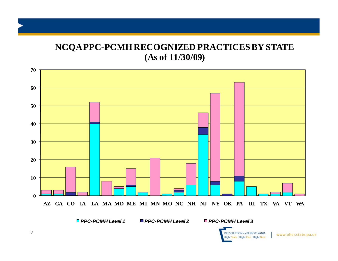#### **NCQA PPC-PCMH RECOGNIZED PRACTICES BY STATE (As of 11/30/09)**



www.ohcr.state.pa.us

Right State | Right Plan | Right Now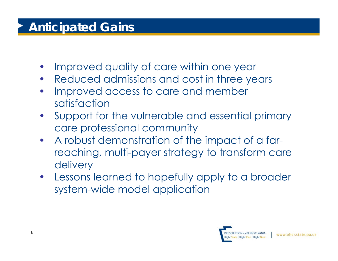- •Improved quality of care within one year
- $\bullet$ Reduced admissions and cost in three years
- $\bullet$  Improved access to care and member satisfaction
- $\bullet$  Support for the vulnerable and essential primary care professional community
- A robust demonstration of the impact of a farreaching, multi-payer strategy to transform care delivery
- Lessons learned to hopefully apply to a broader system-wide model application

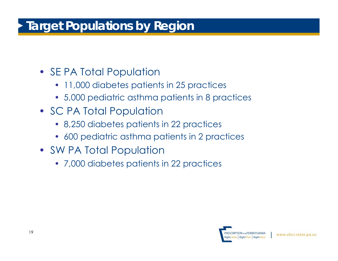## **Target Populations by Region**

- SE PA Total Population
	- $\bullet$ 11,000 diabetes patients in 25 practices
	- 5,000 pediatric asthma patients in 8 practices
- SC PA Total Population
	- 8,250 diabetes patients in 22 practices
	- 600 pediatric asthma patients in 2 practices
- SW PA Total Population
	- 7,000 diabetes patients in 22 practices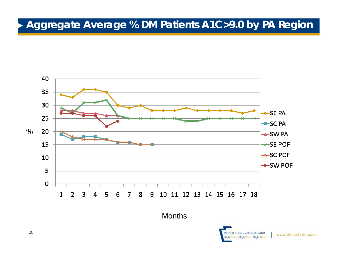### **Aggregate Average % DM Patients A1C>9.0 by PA Region**



#### Months

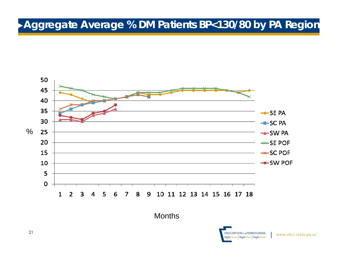## **Aggregate Average % DM Patients BP<130/80 by PA Region**



#### Months

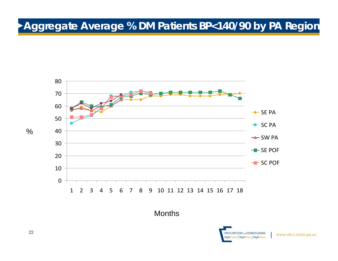## **Aggregate Average % DM Patients BP<140/90 by PA Region**



Months



%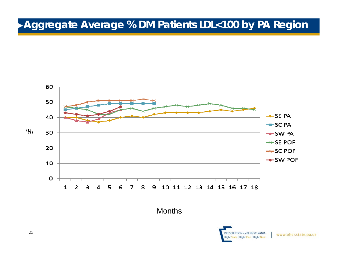### **Aggregate Average % DM Patients LDL<100 by PA Region**



Months

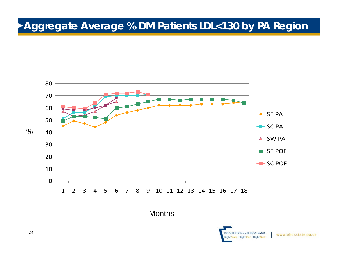### **Aggregate Average % DM Patients LDL<130 by PA Region**



Months

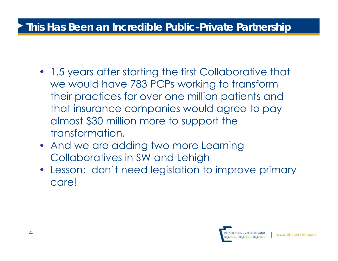- 1.5 years after starting the first Collaborative that we would have 783 PCPs working to transform their practices for over one million patients and that insurance companies would agree to pay almost \$30 million more to support the transformation.
- And we are adding two more Learning Collaboratives in SW and Lehigh
- Lesson: don't need legislation to improve primary care!